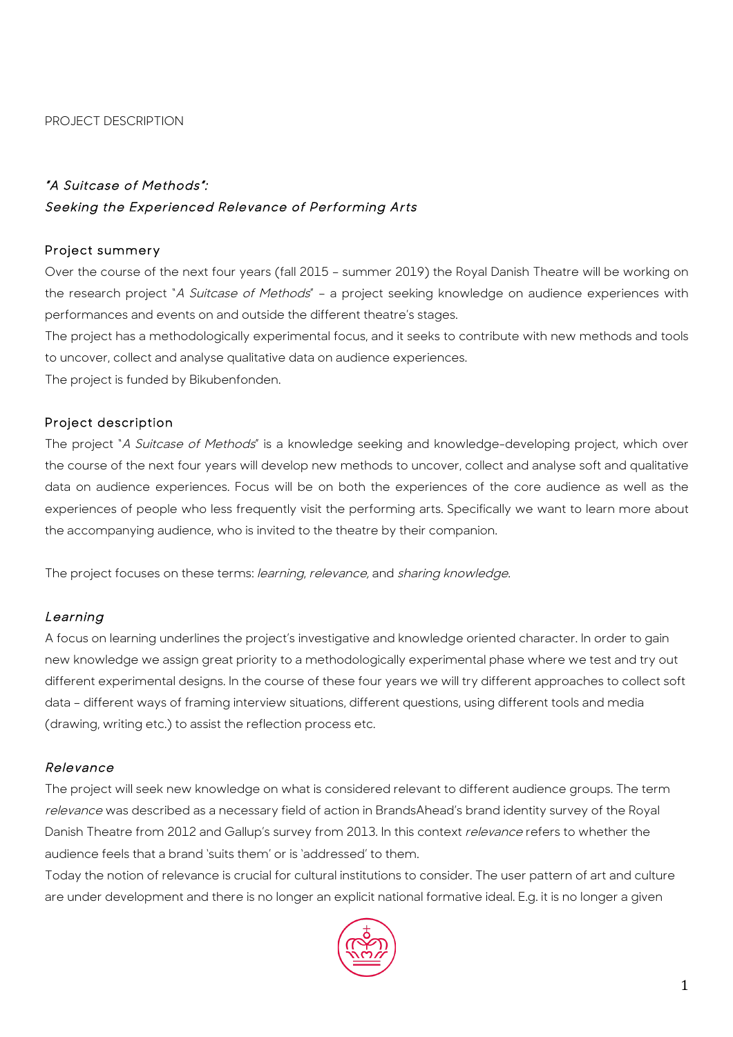#### PROJECT DESCRIPTION

# "A Suitcase of Methods": Seeking the Experienced Relevance of Performing Arts

#### Project summery

Over the course of the next four years (fall 2015 – summer 2019) the Royal Danish Theatre will be working on the research project "A Suitcase of Methods" - a project seeking knowledge on audience experiences with performances and events on and outside the different theatre's stages.

The project has a methodologically experimental focus, and it seeks to contribute with new methods and tools to uncover, collect and analyse qualitative data on audience experiences.

The project is funded by Bikubenfonden.

### Project description

The project "A Suitcase of Methods" is a knowledge seeking and knowledge-developing project, which over the course of the next four years will develop new methods to uncover, collect and analyse soft and qualitative data on audience experiences. Focus will be on both the experiences of the core audience as well as the experiences of people who less frequently visit the performing arts. Specifically we want to learn more about the accompanying audience, who is invited to the theatre by their companion.

The project focuses on these terms: learning, relevance, and sharing knowledge.

### Learning

A focus on learning underlines the project's investigative and knowledge oriented character. In order to gain new knowledge we assign great priority to a methodologically experimental phase where we test and try out different experimental designs. In the course of these four years we will try different approaches to collect soft data – different ways of framing interview situations, different questions, using different tools and media (drawing, writing etc.) to assist the reflection process etc.

### Relevance

The project will seek new knowledge on what is considered relevant to different audience groups. The term relevance was described as a necessary field of action in BrandsAhead's brand identity survey of the Royal Danish Theatre from 2012 and Gallup's survey from 2013. In this context *relevance* refers to whether the audience feels that a brand 'suits them' or is 'addressed' to them.

Today the notion of relevance is crucial for cultural institutions to consider. The user pattern of art and culture are under development and there is no longer an explicit national formative ideal. E.g. it is no longer a given

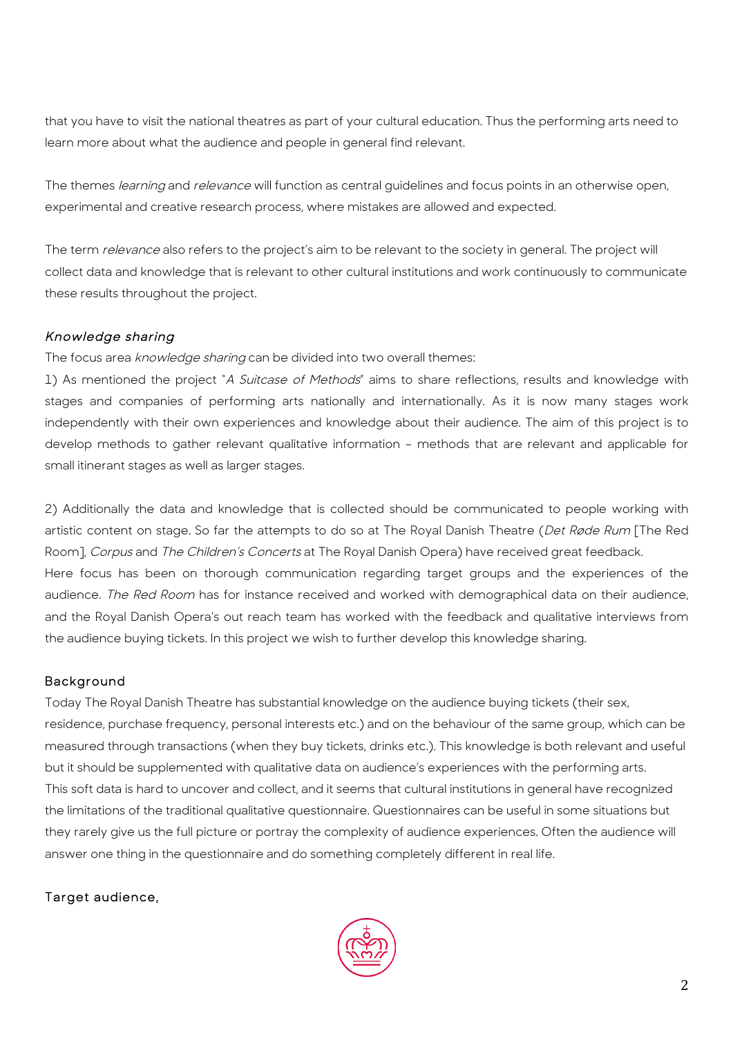that you have to visit the national theatres as part of your cultural education. Thus the performing arts need to learn more about what the audience and people in general find relevant.

The themes learning and relevance will function as central quidelines and focus points in an otherwise open, experimental and creative research process, where mistakes are allowed and expected.

The term *relevance* also refers to the project's aim to be relevant to the society in general. The project will collect data and knowledge that is relevant to other cultural institutions and work continuously to communicate these results throughout the project.

# Knowledge sharing

The focus area knowledge sharing can be divided into two overall themes:

1) As mentioned the project "A Suitcase of Methods" aims to share reflections, results and knowledge with stages and companies of performing arts nationally and internationally. As it is now many stages work independently with their own experiences and knowledge about their audience. The aim of this project is to develop methods to gather relevant qualitative information – methods that are relevant and applicable for small itinerant stages as well as larger stages.

2) Additionally the data and knowledge that is collected should be communicated to people working with artistic content on stage. So far the attempts to do so at The Royal Danish Theatre (Det Røde Rum [The Red Room], Corpus and The Children's Concerts at The Royal Danish Opera) have received great feedback. Here focus has been on thorough communication regarding target groups and the experiences of the audience. The Red Room has for instance received and worked with demographical data on their audience, and the Royal Danish Opera's out reach team has worked with the feedback and qualitative interviews from the audience buying tickets. In this project we wish to further develop this knowledge sharing.

# **Background**

Today The Royal Danish Theatre has substantial knowledge on the audience buying tickets (their sex, residence, purchase frequency, personal interests etc.) and on the behaviour of the same group, which can be measured through transactions (when they buy tickets, drinks etc.). This knowledge is both relevant and useful but it should be supplemented with qualitative data on audience's experiences with the performing arts. This soft data is hard to uncover and collect, and it seems that cultural institutions in general have recognized the limitations of the traditional qualitative questionnaire. Questionnaires can be useful in some situations but they rarely give us the full picture or portray the complexity of audience experiences. Often the audience will answer one thing in the questionnaire and do something completely different in real life.

# Target audience,

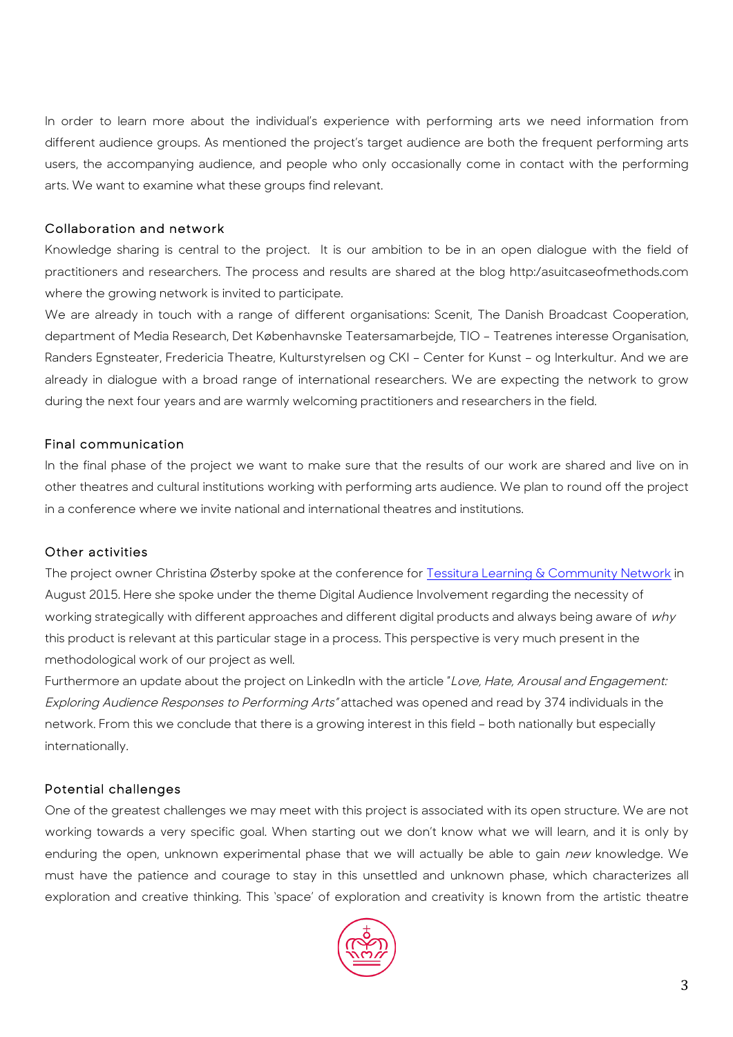In order to learn more about the individual's experience with performing arts we need information from different audience groups. As mentioned the project's target audience are both the frequent performing arts users, the accompanying audience, and people who only occasionally come in contact with the performing arts. We want to examine what these groups find relevant.

### Collaboration and network

Knowledge sharing is central to the project. It is our ambition to be in an open dialogue with the field of practitioners and researchers. The process and results are shared at the blog http:/asuitcaseofmethods.com where the growing network is invited to participate.

We are already in touch with a range of different organisations: Scenit, The Danish Broadcast Cooperation, department of Media Research, Det Københavnske Teatersamarbejde, TIO – Teatrenes interesse Organisation, Randers Egnsteater, Fredericia Theatre, Kulturstyrelsen og CKI – Center for Kunst – og Interkultur. And we are already in dialogue with a broad range of international researchers. We are expecting the network to grow during the next four years and are warmly welcoming practitioners and researchers in the field.

### Final communication

In the final phase of the project we want to make sure that the results of our work are shared and live on in other theatres and cultural institutions working with performing arts audience. We plan to round off the project in a conference where we invite national and international theatres and institutions.

#### Other activities

The project owner Christina Østerby spoke at the conference for Tessitura Learning & Community Network in August 2015. Here she spoke under the theme Digital Audience Involvement regarding the necessity of working strategically with different approaches and different digital products and always being aware of why this product is relevant at this particular stage in a process. This perspective is very much present in the methodological work of our project as well.

Furthermore an update about the project on LinkedIn with the article "Love, Hate, Arousal and Engagement: Exploring Audience Responses to Performing Arts" attached was opened and read by 374 individuals in the network. From this we conclude that there is a growing interest in this field – both nationally but especially internationally.

### Potential challenges

One of the greatest challenges we may meet with this project is associated with its open structure. We are not working towards a very specific goal. When starting out we don't know what we will learn, and it is only by enduring the open, unknown experimental phase that we will actually be able to gain new knowledge. We must have the patience and courage to stay in this unsettled and unknown phase, which characterizes all exploration and creative thinking. This 'space' of exploration and creativity is known from the artistic theatre